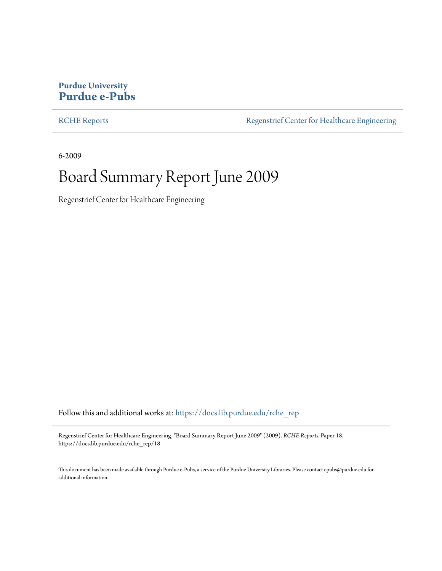### **Purdue University [Purdue e-Pubs](https://docs.lib.purdue.edu/?utm_source=docs.lib.purdue.edu%2Frche_rep%2F18&utm_medium=PDF&utm_campaign=PDFCoverPages)**

[RCHE Reports](https://docs.lib.purdue.edu/rche_rep?utm_source=docs.lib.purdue.edu%2Frche_rep%2F18&utm_medium=PDF&utm_campaign=PDFCoverPages) **[Regenstrief Center for Healthcare Engineering](https://docs.lib.purdue.edu/rche?utm_source=docs.lib.purdue.edu%2Frche_rep%2F18&utm_medium=PDF&utm_campaign=PDFCoverPages)** 

6-2009

# Board Summary Report June 2009

Regenstrief Center for Healthcare Engineering

Follow this and additional works at: [https://docs.lib.purdue.edu/rche\\_rep](https://docs.lib.purdue.edu/rche_rep?utm_source=docs.lib.purdue.edu%2Frche_rep%2F18&utm_medium=PDF&utm_campaign=PDFCoverPages)

Regenstrief Center for Healthcare Engineering, "Board Summary Report June 2009" (2009). *RCHE Reports.* Paper 18. https://docs.lib.purdue.edu/rche\_rep/18

This document has been made available through Purdue e-Pubs, a service of the Purdue University Libraries. Please contact epubs@purdue.edu for additional information.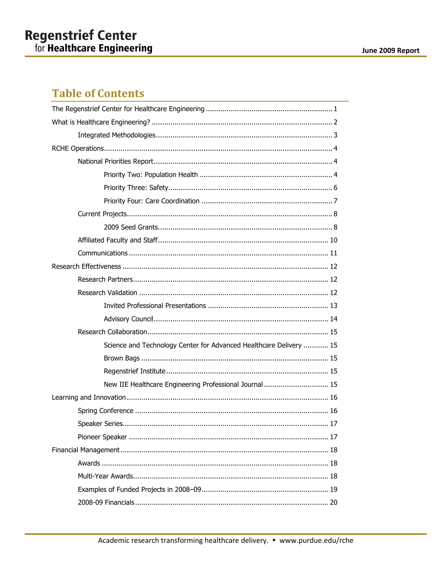# **Table of Contents**

| Science and Technology Center for Advanced Healthcare Delivery  15 |
|--------------------------------------------------------------------|
|                                                                    |
|                                                                    |
| New IIE Healthcare Engineering Professional Journal  15            |
|                                                                    |
|                                                                    |
|                                                                    |
|                                                                    |
|                                                                    |
|                                                                    |
|                                                                    |
|                                                                    |
|                                                                    |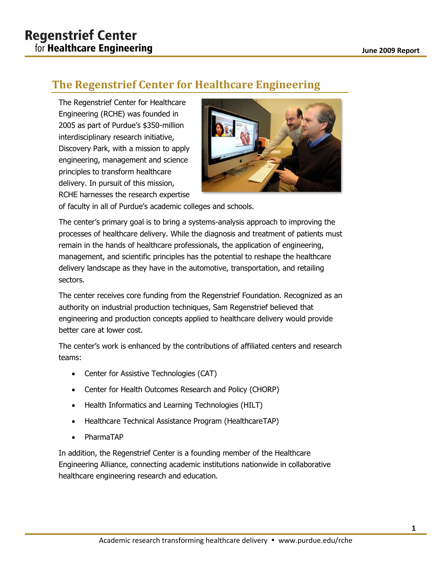# <span id="page-2-0"></span>**The Regenstrief Center for Healthcare Engineering**

The Regenstrief Center for Healthcare Engineering (RCHE) was founded in 2005 as part of Purdue's \$350-million interdisciplinary research initiative, Discovery Park, with a mission to apply engineering, management and science principles to transform healthcare delivery. In pursuit of this mission, RCHE harnesses the research expertise



of faculty in all of Purdue's academic colleges and schools.

The center's primary goal is to bring a systems-analysis approach to improving the processes of healthcare delivery. While the diagnosis and treatment of patients must remain in the hands of healthcare professionals, the application of engineering, management, and scientific principles has the potential to reshape the healthcare delivery landscape as they have in the automotive, transportation, and retailing sectors.

The center receives core funding from the Regenstrief Foundation. Recognized as an authority on industrial production techniques, Sam Regenstrief believed that engineering and production concepts applied to healthcare delivery would provide better care at lower cost.

The center's work is enhanced by the contributions of affiliated centers and research teams:

- Center for Assistive Technologies (CAT)
- Center for Health Outcomes Research and Policy (CHORP)
- Health Informatics and Learning Technologies (HILT)
- Healthcare Technical Assistance Program (HealthcareTAP)
- PharmaTAP

In addition, the Regenstrief Center is a founding member of the Healthcare Engineering Alliance, connecting academic institutions nationwide in collaborative healthcare engineering research and education.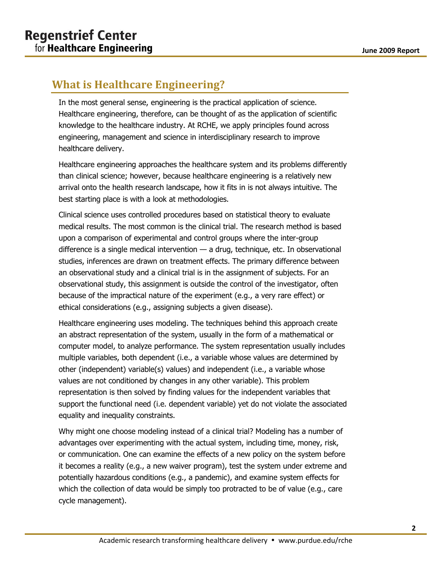# <span id="page-3-0"></span>**What is Healthcare Engineering?**

In the most general sense, engineering is the practical application of science. Healthcare engineering, therefore, can be thought of as the application of scientific knowledge to the healthcare industry. At RCHE, we apply principles found across engineering, management and science in interdisciplinary research to improve healthcare delivery.

Healthcare engineering approaches the healthcare system and its problems differently than clinical science; however, because healthcare engineering is a relatively new arrival onto the health research landscape, how it fits in is not always intuitive. The best starting place is with a look at methodologies.

Clinical science uses controlled procedures based on statistical theory to evaluate medical results. The most common is the clinical trial. The research method is based upon a comparison of experimental and control groups where the inter-group difference is a single medical intervention — a drug, technique, etc. In observational studies, inferences are drawn on treatment effects. The primary difference between an observational study and a clinical trial is in the assignment of subjects. For an observational study, this assignment is outside the control of the investigator, often because of the impractical nature of the experiment (e.g., a very rare effect) or ethical considerations (e.g., assigning subjects a given disease).

Healthcare engineering uses modeling. The techniques behind this approach create an abstract representation of the system, usually in the form of a mathematical or computer model, to analyze performance. The system representation usually includes multiple variables, both dependent (i.e., a variable whose values are determined by other (independent) variable(s) values) and independent (i.e., a variable whose values are not conditioned by changes in any other variable). This problem representation is then solved by finding values for the independent variables that support the functional need (i.e. dependent variable) yet do not violate the associated equality and inequality constraints.

Why might one choose modeling instead of a clinical trial? Modeling has a number of advantages over experimenting with the actual system, including time, money, risk, or communication. One can examine the effects of a new policy on the system before it becomes a reality (e.g., a new waiver program), test the system under extreme and potentially hazardous conditions (e.g., a pandemic), and examine system effects for which the collection of data would be simply too protracted to be of value (e.g., care cycle management).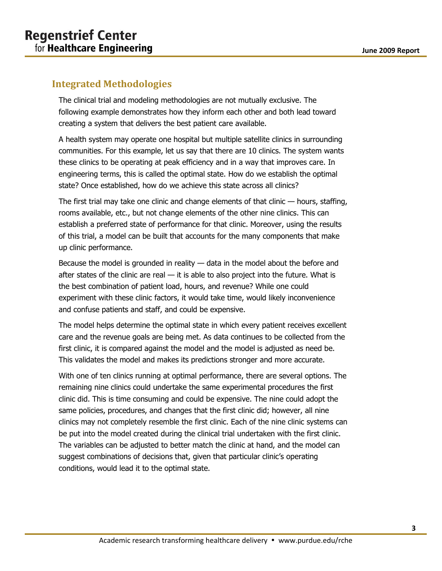## <span id="page-4-0"></span>**Integrated Methodologies**

The clinical trial and modeling methodologies are not mutually exclusive. The following example demonstrates how they inform each other and both lead toward creating a system that delivers the best patient care available.

A health system may operate one hospital but multiple satellite clinics in surrounding communities. For this example, let us say that there are 10 clinics. The system wants these clinics to be operating at peak efficiency and in a way that improves care. In engineering terms, this is called the optimal state. How do we establish the optimal state? Once established, how do we achieve this state across all clinics?

The first trial may take one clinic and change elements of that clinic — hours, staffing, rooms available, etc., but not change elements of the other nine clinics. This can establish a preferred state of performance for that clinic. Moreover, using the results of this trial, a model can be built that accounts for the many components that make up clinic performance.

Because the model is grounded in reality — data in the model about the before and after states of the clinic are real  $-$  it is able to also project into the future. What is the best combination of patient load, hours, and revenue? While one could experiment with these clinic factors, it would take time, would likely inconvenience and confuse patients and staff, and could be expensive.

The model helps determine the optimal state in which every patient receives excellent care and the revenue goals are being met. As data continues to be collected from the first clinic, it is compared against the model and the model is adjusted as need be. This validates the model and makes its predictions stronger and more accurate.

With one of ten clinics running at optimal performance, there are several options. The remaining nine clinics could undertake the same experimental procedures the first clinic did. This is time consuming and could be expensive. The nine could adopt the same policies, procedures, and changes that the first clinic did; however, all nine clinics may not completely resemble the first clinic. Each of the nine clinic systems can be put into the model created during the clinical trial undertaken with the first clinic. The variables can be adjusted to better match the clinic at hand, and the model can suggest combinations of decisions that, given that particular clinic's operating conditions, would lead it to the optimal state.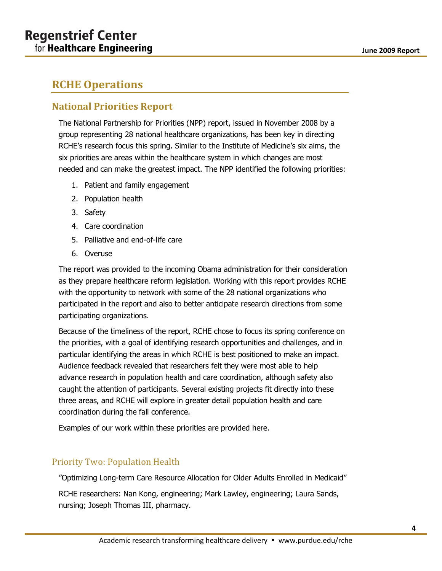# <span id="page-5-0"></span>**RCHE Operations**

# <span id="page-5-1"></span>**National Priorities Report**

The National Partnership for Priorities (NPP) report, issued in November 2008 by a group representing 28 national healthcare organizations, has been key in directing RCHE's research focus this spring. Similar to the Institute of Medicine's six aims, the six priorities are areas within the healthcare system in which changes are most needed and can make the greatest impact. The NPP identified the following priorities:

- 1. Patient and family engagement
- 2. Population health
- 3. Safety
- 4. Care coordination
- 5. Palliative and end-of-life care
- 6. Overuse

The report was provided to the incoming Obama administration for their consideration as they prepare healthcare reform legislation. Working with this report provides RCHE with the opportunity to network with some of the 28 national organizations who participated in the report and also to better anticipate research directions from some participating organizations.

Because of the timeliness of the report, RCHE chose to focus its spring conference on the priorities, with a goal of identifying research opportunities and challenges, and in particular identifying the areas in which RCHE is best positioned to make an impact. Audience feedback revealed that researchers felt they were most able to help advance research in population health and care coordination, although safety also caught the attention of participants. Several existing projects fit directly into these three areas, and RCHE will explore in greater detail population health and care coordination during the fall conference.

Examples of our work within these priorities are provided here.

### <span id="page-5-2"></span>Priority Two: Population Health

"Optimizing Long-term Care Resource Allocation for Older Adults Enrolled in Medicaid"

RCHE researchers: Nan Kong, engineering; Mark Lawley, engineering; Laura Sands, nursing; Joseph Thomas III, pharmacy.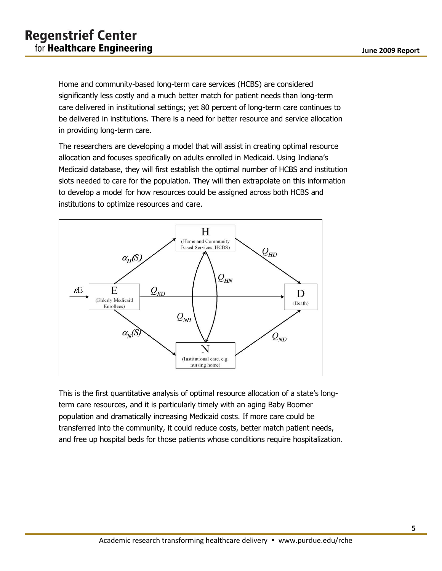Home and community-based long-term care services (HCBS) are considered significantly less costly and a much better match for patient needs than long-term care delivered in institutional settings; yet 80 percent of long-term care continues to be delivered in institutions. There is a need for better resource and service allocation in providing long-term care.

The researchers are developing a model that will assist in creating optimal resource allocation and focuses specifically on adults enrolled in Medicaid. Using Indiana's Medicaid database, they will first establish the optimal number of HCBS and institution slots needed to care for the population. They will then extrapolate on this information to develop a model for how resources could be assigned across both HCBS and institutions to optimize resources and care.



<span id="page-6-0"></span>This is the first quantitative analysis of optimal resource allocation of a state's longterm care resources, and it is particularly timely with an aging Baby Boomer population and dramatically increasing Medicaid costs. If more care could be transferred into the community, it could reduce costs, better match patient needs, and free up hospital beds for those patients whose conditions require hospitalization.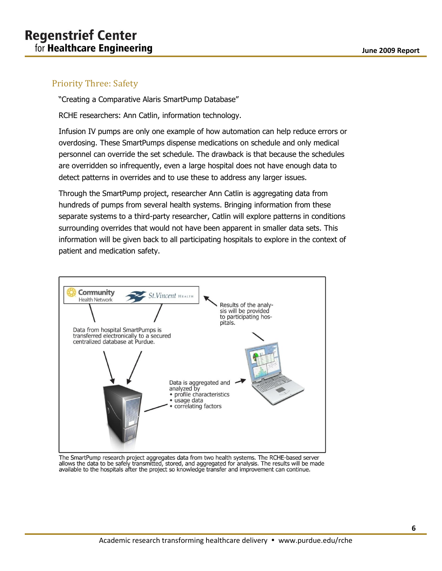#### Priority Three: Safety

"Creating a Comparative Alaris SmartPump Database"

RCHE researchers: Ann Catlin, information technology.

Infusion IV pumps are only one example of how automation can help reduce errors or overdosing. These SmartPumps dispense medications on schedule and only medical personnel can override the set schedule. The drawback is that because the schedules are overridden so infrequently, even a large hospital does not have enough data to detect patterns in overrides and to use these to address any larger issues.

Through the SmartPump project, researcher Ann Catlin is aggregating data from hundreds of pumps from several health systems. Bringing information from these separate systems to a third-party researcher, Catlin will explore patterns in conditions surrounding overrides that would not have been apparent in smaller data sets. This information will be given back to all participating hospitals to explore in the context of patient and medication safety.



The SmartPump research project aggregates data from two health systems. The RCHE-based server<br>allows the data to be safely transmitted, stored, and aggregated for analysis. The results will be made<br>available to the begrift available to the hospitals after the project so knowledge transfer and improvement can continue.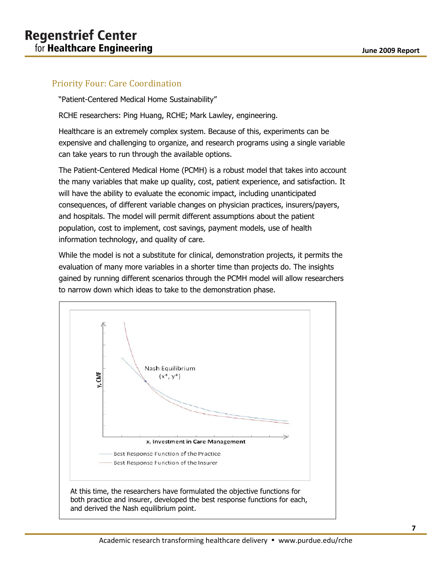#### <span id="page-8-0"></span>Priority Four: Care Coordination

"Patient-Centered Medical Home Sustainability"

RCHE researchers: Ping Huang, RCHE; Mark Lawley, engineering.

Healthcare is an extremely complex system. Because of this, experiments can be expensive and challenging to organize, and research programs using a single variable can take years to run through the available options.

The Patient-Centered Medical Home (PCMH) is a robust model that takes into account the many variables that make up quality, cost, patient experience, and satisfaction. It will have the ability to evaluate the economic impact, including unanticipated consequences, of different variable changes on physician practices, insurers/payers, and hospitals. The model will permit different assumptions about the patient population, cost to implement, cost savings, payment models, use of health information technology, and quality of care.

While the model is not a substitute for clinical, demonstration projects, it permits the evaluation of many more variables in a shorter time than projects do. The insights gained by running different scenarios through the PCMH model will allow researchers to narrow down which ideas to take to the demonstration phase.

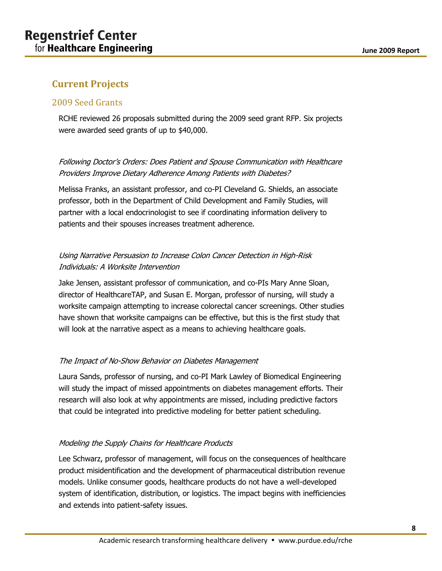# <span id="page-9-0"></span>**Current Projects**

#### <span id="page-9-1"></span>2009 Seed Grants

RCHE reviewed 26 proposals submitted during the 2009 seed grant RFP. Six projects were awarded seed grants of up to \$40,000.

#### Following Doctor's Orders: Does Patient and Spouse Communication with Healthcare Providers Improve Dietary Adherence Among Patients with Diabetes?

Melissa Franks, an assistant professor, and co-PI Cleveland G. Shields, an associate professor, both in the Department of Child Development and Family Studies, will partner with a local endocrinologist to see if coordinating information delivery to patients and their spouses increases treatment adherence.

#### Using Narrative Persuasion to Increase Colon Cancer Detection in High-Risk Individuals: A Worksite Intervention

Jake Jensen, assistant professor of communication, and co-PIs Mary Anne Sloan, director of HealthcareTAP, and Susan E. Morgan, professor of nursing, will study a worksite campaign attempting to increase colorectal cancer screenings. Other studies have shown that worksite campaigns can be effective, but this is the first study that will look at the narrative aspect as a means to achieving healthcare goals.

#### The Impact of No-Show Behavior on Diabetes Management

Laura Sands, professor of nursing, and co-PI Mark Lawley of Biomedical Engineering will study the impact of missed appointments on diabetes management efforts. Their research will also look at why appointments are missed, including predictive factors that could be integrated into predictive modeling for better patient scheduling.

#### Modeling the Supply Chains for Healthcare Products

Lee Schwarz, professor of management, will focus on the consequences of healthcare product misidentification and the development of pharmaceutical distribution revenue models. Unlike consumer goods, healthcare products do not have a well-developed system of identification, distribution, or logistics. The impact begins with inefficiencies and extends into patient-safety issues.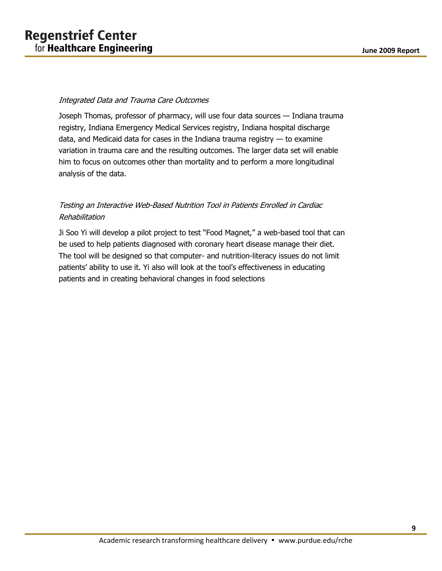#### Integrated Data and Trauma Care Outcomes

Joseph Thomas, professor of pharmacy, will use four data sources — Indiana trauma registry, Indiana Emergency Medical Services registry, Indiana hospital discharge data, and Medicaid data for cases in the Indiana trauma registry — to examine variation in trauma care and the resulting outcomes. The larger data set will enable him to focus on outcomes other than mortality and to perform a more longitudinal analysis of the data.

#### Testing an Interactive Web-Based Nutrition Tool in Patients Enrolled in Cardiac Rehabilitation

Ji Soo Yi will develop a pilot project to test "Food Magnet," a web-based tool that can be used to help patients diagnosed with coronary heart disease manage their diet. The tool will be designed so that computer- and nutrition-literacy issues do not limit patients' ability to use it. Yi also will look at the tool's effectiveness in educating patients and in creating behavioral changes in food selections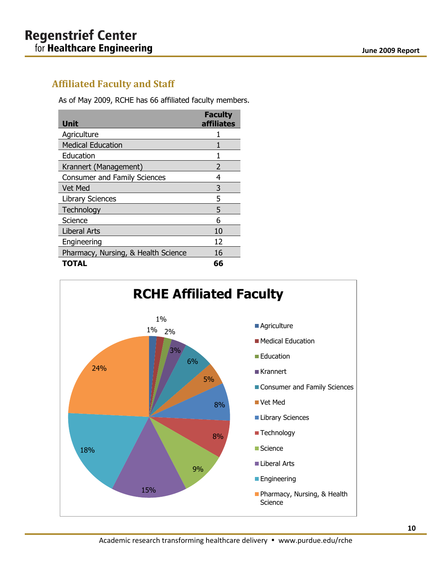# <span id="page-11-0"></span>**Affiliated Faculty and Staff**

As of May 2009, RCHE has 66 affiliated faculty members.

| Unit                                | <b>Faculty</b><br>affiliates |
|-------------------------------------|------------------------------|
| Agriculture                         |                              |
| <b>Medical Education</b>            |                              |
| Education                           |                              |
| Krannert (Management)               | 2                            |
| <b>Consumer and Family Sciences</b> | 4                            |
| Vet Med                             | 3                            |
| <b>Library Sciences</b>             | 5                            |
| Technology                          | 5                            |
| Science                             | 6                            |
| <b>Liberal Arts</b>                 | 10                           |
| Engineering                         | 12                           |
| Pharmacy, Nursing, & Health Science | 16                           |
| TOTAL                               | 66                           |

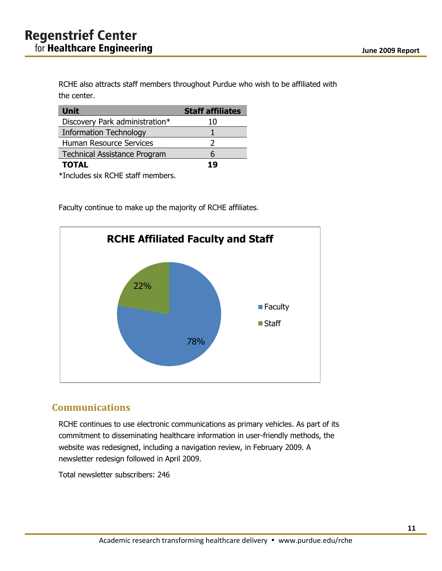RCHE also attracts staff members throughout Purdue who wish to be affiliated with the center.

| <b>Unit</b>                         | <b>Staff affiliates</b> |
|-------------------------------------|-------------------------|
| Discovery Park administration*      | 10                      |
| <b>Information Technology</b>       |                         |
| Human Resource Services             |                         |
| <b>Technical Assistance Program</b> | 6                       |
| <b>TOTAL</b>                        | 19                      |

\*Includes six RCHE staff members.

Faculty continue to make up the majority of RCHE affiliates.



### <span id="page-12-0"></span>**Communications**

RCHE continues to use electronic communications as primary vehicles. As part of its commitment to disseminating healthcare information in user-friendly methods, the website was redesigned, including a navigation review, in February 2009. A newsletter redesign followed in April 2009.

Total newsletter subscribers: 246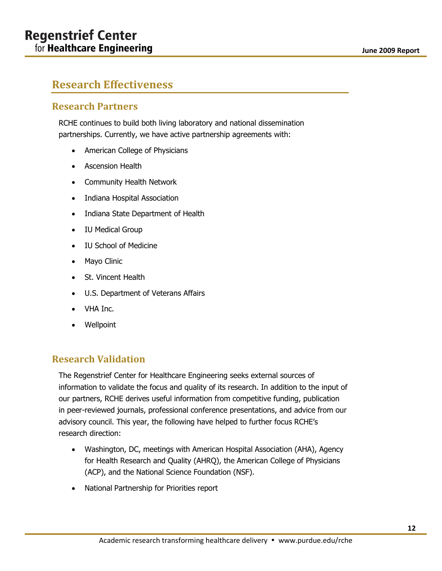#### **June 2009 Report**

# <span id="page-13-0"></span>**Research Effectiveness**

#### <span id="page-13-1"></span>**Research Partners**

RCHE continues to build both living laboratory and national dissemination partnerships. Currently, we have active partnership agreements with:

- American College of Physicians
- Ascension Health
- Community Health Network
- Indiana Hospital Association
- Indiana State Department of Health
- IU Medical Group
- IU School of Medicine
- Mayo Clinic
- St. Vincent Health
- U.S. Department of Veterans Affairs
- VHA Inc.
- Wellpoint

#### <span id="page-13-2"></span>**Research Validation**

The Regenstrief Center for Healthcare Engineering seeks external sources of information to validate the focus and quality of its research. In addition to the input of our partners, RCHE derives useful information from competitive funding, publication in peer-reviewed journals, professional conference presentations, and advice from our advisory council. This year, the following have helped to further focus RCHE's research direction:

- Washington, DC, meetings with American Hospital Association (AHA), Agency for Health Research and Quality (AHRQ), the American College of Physicians (ACP), and the National Science Foundation (NSF).
- National Partnership for Priorities report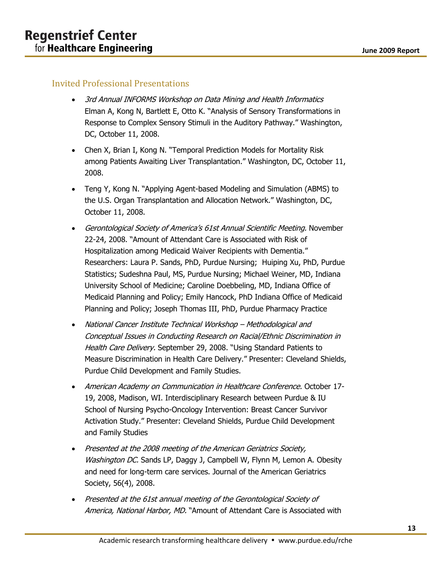#### <span id="page-14-0"></span>Invited Professional Presentations

- 3rd Annual INFORMS Workshop on Data Mining and Health Informatics Elman A, Kong N, Bartlett E, Otto K. "Analysis of Sensory Transformations in Response to Complex Sensory Stimuli in the Auditory Pathway." Washington, DC, October 11, 2008.
- Chen X, Brian I, Kong N. "Temporal Prediction Models for Mortality Risk among Patients Awaiting Liver Transplantation." Washington, DC, October 11, 2008.
- Teng Y, Kong N. "Applying Agent-based Modeling and Simulation (ABMS) to the U.S. Organ Transplantation and Allocation Network." Washington, DC, October 11, 2008.
- Gerontological Society of America's 61st Annual Scientific Meeting. November 22-24, 2008. "Amount of Attendant Care is Associated with Risk of Hospitalization among Medicaid Waiver Recipients with Dementia." Researchers: Laura P. Sands, PhD, Purdue Nursing; Huiping Xu, PhD, Purdue Statistics; Sudeshna Paul, MS, Purdue Nursing; Michael Weiner, MD, Indiana University School of Medicine; Caroline Doebbeling, MD, Indiana Office of Medicaid Planning and Policy; Emily Hancock, PhD Indiana Office of Medicaid Planning and Policy; Joseph Thomas III, PhD, Purdue Pharmacy Practice
- National Cancer Institute Technical Workshop Methodological and Conceptual Issues in Conducting Research on Racial/Ethnic Discrimination in Health Care Delivery. September 29, 2008. "Using Standard Patients to Measure Discrimination in Health Care Delivery." Presenter: Cleveland Shields, Purdue Child Development and Family Studies.
- American Academy on Communication in Healthcare Conference. October 17-19, 2008, Madison, WI. Interdisciplinary Research between Purdue & IU School of Nursing Psycho-Oncology Intervention: Breast Cancer Survivor Activation Study." Presenter: Cleveland Shields, Purdue Child Development and Family Studies
- Presented at the 2008 meeting of the American Geriatrics Society, Washington DC. Sands LP, Daggy J, Campbell W, Flynn M, Lemon A. Obesity and need for long-term care services. Journal of the American Geriatrics Society, 56(4), 2008.
- Presented at the 61st annual meeting of the Gerontological Society of America, National Harbor, MD. "Amount of Attendant Care is Associated with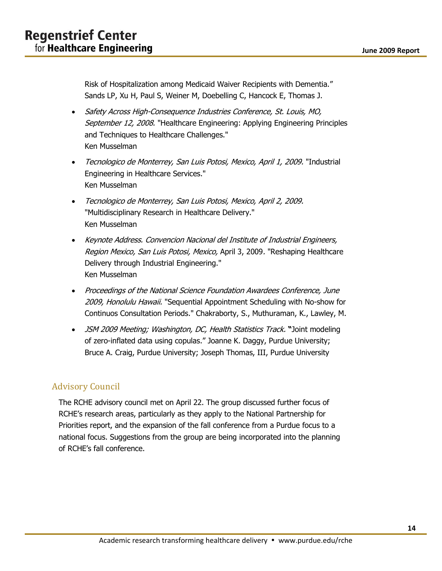Risk of Hospitalization among Medicaid Waiver Recipients with Dementia." Sands LP, Xu H, Paul S, Weiner M, Doebelling C, Hancock E, Thomas J.

- Safety Across High-Consequence Industries Conference, St. Louis, MO, September 12, 2008. "Healthcare Engineering: Applying Engineering Principles and Techniques to Healthcare Challenges." Ken Musselman
- Tecnologico de Monterrey, San Luis Potosi, Mexico, April 1, 2009. "Industrial Engineering in Healthcare Services." Ken Musselman
- Tecnologico de Monterrey, San Luis Potosi, Mexico, April 2, 2009. "Multidisciplinary Research in Healthcare Delivery." Ken Musselman
- Keynote Address. Convencion Nacional del Institute of Industrial Engineers, Region Mexico, San Luis Potosi, Mexico, April 3, 2009. "Reshaping Healthcare Delivery through Industrial Engineering." Ken Musselman
- Proceedings of the National Science Foundation Awardees Conference, June 2009, Honolulu Hawaii. "Sequential Appointment Scheduling with No-show for Continuos Consultation Periods." Chakraborty, S., Muthuraman, K., Lawley, M.
- JSM 2009 Meeting; Washington, DC, Health Statistics Track. **"**Joint modeling of zero-inflated data using copulas." Joanne K. Daggy, Purdue University; Bruce A. Craig, Purdue University; Joseph Thomas, III, Purdue University

### <span id="page-15-0"></span>Advisory Council

The RCHE advisory council met on April 22. The group discussed further focus of RCHE's research areas, particularly as they apply to the National Partnership for Priorities report, and the expansion of the fall conference from a Purdue focus to a national focus. Suggestions from the group are being incorporated into the planning of RCHE's fall conference.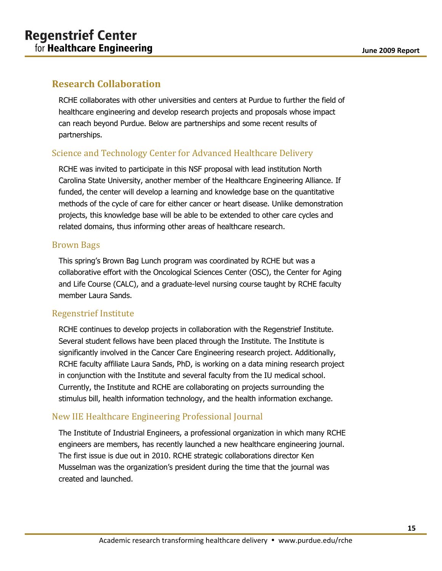# <span id="page-16-0"></span>**Research Collaboration**

RCHE collaborates with other universities and centers at Purdue to further the field of healthcare engineering and develop research projects and proposals whose impact can reach beyond Purdue. Below are partnerships and some recent results of partnerships.

#### <span id="page-16-1"></span>Science and Technology Center for Advanced Healthcare Delivery

RCHE was invited to participate in this NSF proposal with lead institution North Carolina State University, another member of the Healthcare Engineering Alliance. If funded, the center will develop a learning and knowledge base on the quantitative methods of the cycle of care for either cancer or heart disease. Unlike demonstration projects, this knowledge base will be able to be extended to other care cycles and related domains, thus informing other areas of healthcare research.

#### <span id="page-16-2"></span>Brown Bags

This spring's Brown Bag Lunch program was coordinated by RCHE but was a collaborative effort with the Oncological Sciences Center (OSC), the Center for Aging and Life Course (CALC), and a graduate-level nursing course taught by RCHE faculty member Laura Sands.

#### <span id="page-16-3"></span>Regenstrief Institute

RCHE continues to develop projects in collaboration with the Regenstrief Institute. Several student fellows have been placed through the Institute. The Institute is significantly involved in the Cancer Care Engineering research project. Additionally, RCHE faculty affiliate Laura Sands, PhD, is working on a data mining research project in conjunction with the Institute and several faculty from the IU medical school. Currently, the Institute and RCHE are collaborating on projects surrounding the stimulus bill, health information technology, and the health information exchange.

### <span id="page-16-4"></span>New IIE Healthcare Engineering Professional Journal

The Institute of Industrial Engineers, a professional organization in which many RCHE engineers are members, has recently launched a new healthcare engineering journal. The first issue is due out in 2010. RCHE strategic collaborations director Ken Musselman was the organization's president during the time that the journal was created and launched.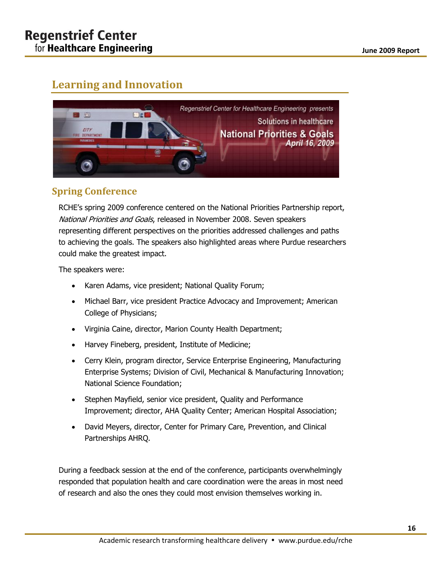# <span id="page-17-0"></span>**Learning and Innovation**



# <span id="page-17-1"></span>**Spring Conference**

RCHE's spring 2009 conference centered on the National Priorities Partnership report, National Priorities and Goals, released in November 2008. Seven speakers representing different perspectives on the priorities addressed challenges and paths to achieving the goals. The speakers also highlighted areas where Purdue researchers could make the greatest impact.

The speakers were:

- Karen Adams, vice president; National Quality Forum;
- Michael Barr, vice president Practice Advocacy and Improvement; American College of Physicians;
- Virginia Caine, director, Marion County Health Department;
- Harvey Fineberg, president, Institute of Medicine;
- Cerry Klein, program director, Service Enterprise Engineering, Manufacturing Enterprise Systems; Division of Civil, Mechanical & Manufacturing Innovation; National Science Foundation;
- Stephen Mayfield, senior vice president, Quality and Performance Improvement; director, AHA Quality Center; American Hospital Association;
- David Meyers, director, Center for Primary Care, Prevention, and Clinical Partnerships AHRQ.

During a feedback session at the end of the conference, participants overwhelmingly responded that population health and care coordination were the areas in most need of research and also the ones they could most envision themselves working in.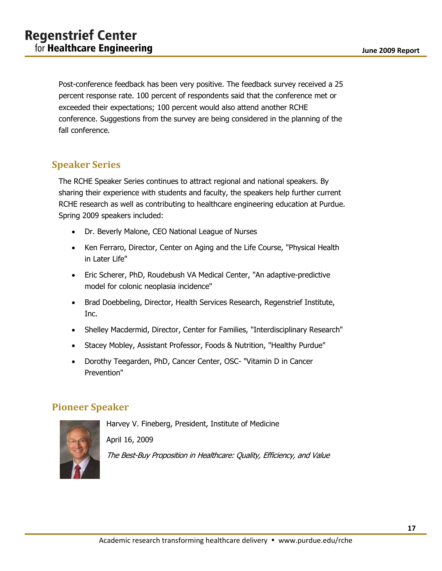Post-conference feedback has been very positive. The feedback survey received a 25 percent response rate. 100 percent of respondents said that the conference met or exceeded their expectations; 100 percent would also attend another RCHE conference. Suggestions from the survey are being considered in the planning of the fall conference.

# <span id="page-18-0"></span>**Speaker Series**

The RCHE Speaker Series continues to attract regional and national speakers. By sharing their experience with students and faculty, the speakers help further current RCHE research as well as contributing to healthcare engineering education at Purdue. Spring 2009 speakers included:

- Dr. Beverly Malone, CEO National League of Nurses
- Ken Ferraro, Director, Center on Aging and the Life Course, "Physical Health in Later Life"
- Eric Scherer, PhD, Roudebush VA Medical Center, "An adaptive-predictive model for colonic neoplasia incidence"
- Brad Doebbeling, Director, Health Services Research, Regenstrief Institute, Inc.
- Shelley Macdermid, Director, Center for Families, "Interdisciplinary Research"
- Stacey Mobley, Assistant Professor, Foods & Nutrition, "Healthy Purdue"
- Dorothy Teegarden, PhD, Cancer Center, OSC- "Vitamin D in Cancer Prevention"

### <span id="page-18-1"></span>**Pioneer Speaker**



Harvey V. Fineberg, President, Institute of Medicine April 16, 2009 The Best-Buy Proposition in Healthcare: Quality, Efficiency, and Value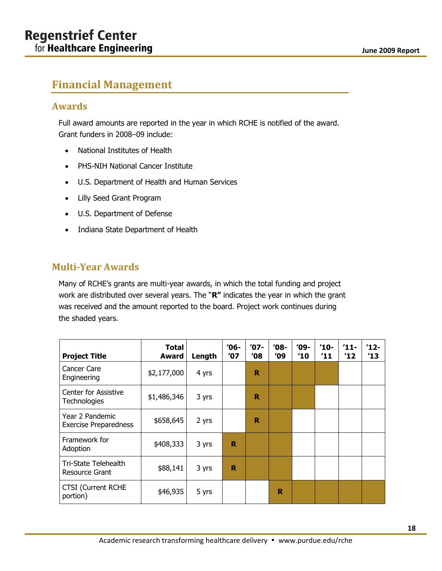# <span id="page-19-0"></span>**Financial Management**

## <span id="page-19-1"></span>**Awards**

Full award amounts are reported in the year in which RCHE is notified of the award. Grant funders in 2008–09 include:

- National Institutes of Health
- PHS-NIH National Cancer Institute
- U.S. Department of Health and Human Services
- Lilly Seed Grant Program
- U.S. Department of Defense
- Indiana State Department of Health

## <span id="page-19-2"></span>**Multi-Year Awards**

Many of RCHE's grants are multi-year awards, in which the total funding and project work are distributed over several years. The "**R"** indicates the year in which the grant was received and the amount reported to the board. Project work continues during the shaded years.

| <b>Project Title</b>                            | Total<br>Award | Length | '06-<br>'07 | $'07-$<br>'08 | $'08-$<br>′09 | '09-<br>′10 | $'10-$<br>$^{\prime}11$ | $11 -$<br>$^{\prime}12$ | $12 -$<br>$^{\prime}13$ |
|-------------------------------------------------|----------------|--------|-------------|---------------|---------------|-------------|-------------------------|-------------------------|-------------------------|
| Cancer Care<br>Engineering                      | \$2,177,000    | 4 yrs  |             | R             |               |             |                         |                         |                         |
| <b>Center for Assistive</b><br>Technologies     | \$1,486,346    | 3 yrs  |             | R             |               |             |                         |                         |                         |
| Year 2 Pandemic<br><b>Exercise Preparedness</b> | \$658,645      | 2 yrs  |             | R             |               |             |                         |                         |                         |
| Framework for<br>Adoption                       | \$408,333      | 3 yrs  | R           |               |               |             |                         |                         |                         |
| Tri-State Telehealth<br>Resource Grant          | \$88,141       | 3 yrs  | R           |               |               |             |                         |                         |                         |
| <b>CTSI</b> (Current RCHE<br>portion)           | \$46,935       | 5 yrs  |             |               | R             |             |                         |                         |                         |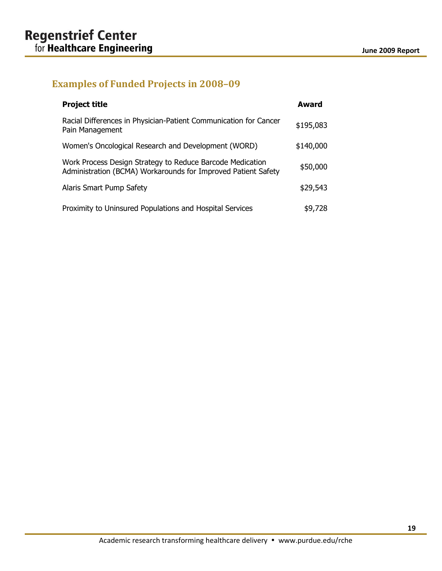# <span id="page-20-0"></span>**Examples of Funded Projects in 2008–09**

| <b>Project title</b>                                                                                                       | Award     |
|----------------------------------------------------------------------------------------------------------------------------|-----------|
| Racial Differences in Physician-Patient Communication for Cancer<br>Pain Management                                        | \$195,083 |
| Women's Oncological Research and Development (WORD)                                                                        | \$140,000 |
| Work Process Design Strategy to Reduce Barcode Medication<br>Administration (BCMA) Workarounds for Improved Patient Safety | \$50,000  |
| Alaris Smart Pump Safety                                                                                                   | \$29,543  |
| Proximity to Uninsured Populations and Hospital Services                                                                   | \$9,728   |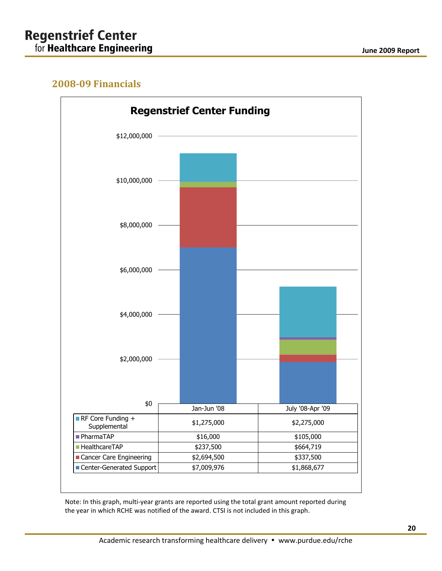# **Regenstrief Center** for **Healthcare Engineering**

# <span id="page-21-0"></span>**2008-09 Financials**



Note: In this graph, multi-year grants are reported using the total grant amount reported during the year in which RCHE was notified of the award. CTSI is not included in this graph.